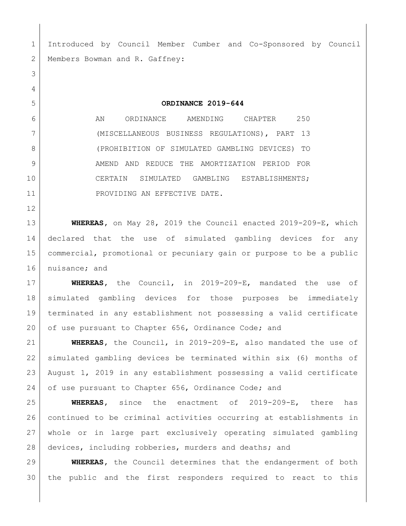Introduced by Council Member Cumber and Co-Sponsored by Council 2 Members Bowman and R. Gaffney: **ORDINANCE 2019-644** 6 AN ORDINANCE AMENDING CHAPTER 250 (MISCELLANEOUS BUSINESS REGULATIONS), PART 13 (PROHIBITION OF SIMULATED GAMBLING DEVICES) TO 9 AMEND AND REDUCE THE AMORTIZATION PERIOD FOR CERTAIN SIMULATED GAMBLING ESTABLISHMENTS; 11 PROVIDING AN EFFECTIVE DATE. **WHEREAS,** on May 28, 2019 the Council enacted 2019-209-E, which declared that the use of simulated gambling devices for any commercial, promotional or pecuniary gain or purpose to be a public nuisance; and **WHEREAS,** the Council, in 2019-209-E, mandated the use of simulated gambling devices for those purposes be immediately terminated in any establishment not possessing a valid certificate 20 of use pursuant to Chapter 656, Ordinance Code; and **WHEREAS,** the Council, in 2019-209-E, also mandated the use of simulated gambling devices be terminated within six (6) months of August 1, 2019 in any establishment possessing a valid certificate 24 of use pursuant to Chapter 656, Ordinance Code; and **WHEREAS,** since the enactment of 2019-209-E, there has continued to be criminal activities occurring at establishments in whole or in large part exclusively operating simulated gambling devices, including robberies, murders and deaths; and **WHEREAS,** the Council determines that the endangerment of both the public and the first responders required to react to this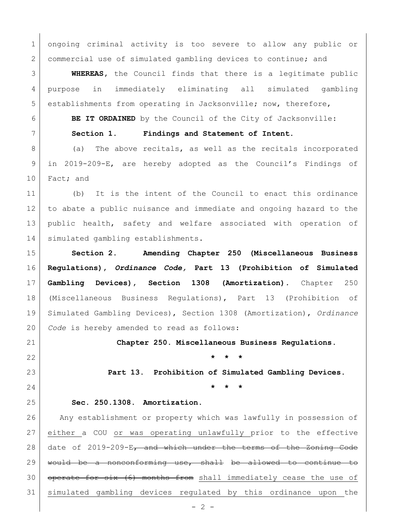ongoing criminal activity is too severe to allow any public or 2 commercial use of simulated gambling devices to continue; and

 **WHEREAS,** the Council finds that there is a legitimate public purpose in immediately eliminating all simulated gambling establishments from operating in Jacksonville; now, therefore,

**BE IT ORDAINED** by the Council of the City of Jacksonville:

**Section 1. Findings and Statement of Intent.**

8 (a) The above recitals, as well as the recitals incorporated in 2019-209-E, are hereby adopted as the Council's Findings of 10 Fact; and

 (b) It is the intent of the Council to enact this ordinance to abate a public nuisance and immediate and ongoing hazard to the public health, safety and welfare associated with operation of 14 | simulated gambling establishments.

 **Section 2. Amending Chapter 250 (Miscellaneous Business Regulations),** *Ordinance Code,* **Part 13 (Prohibition of Simulated Gambling Devices), Section 1308 (Amortization)***.* Chapter 250 (Miscellaneous Business Regulations), Part 13 (Prohibition of Simulated Gambling Devices), Section 1308 (Amortization), *Ordinance Code* is hereby amended to read as follows:

**Chapter 250. Miscellaneous Business Regulations.**

**\* \* \***

**Part 13. Prohibition of Simulated Gambling Devices.**

**\* \* \***

## **Sec. 250.1308. Amortization.**

 Any establishment or property which was lawfully in possession of either a COU or was operating unlawfully prior to the effective 28 date of 2019-209-E, and which under the terms of the Zoning Code would be a nonconforming use, shall be allowed to continue to 30 | operate for six (6) months from shall immediately cease the use of simulated gambling devices regulated by this ordinance upon the